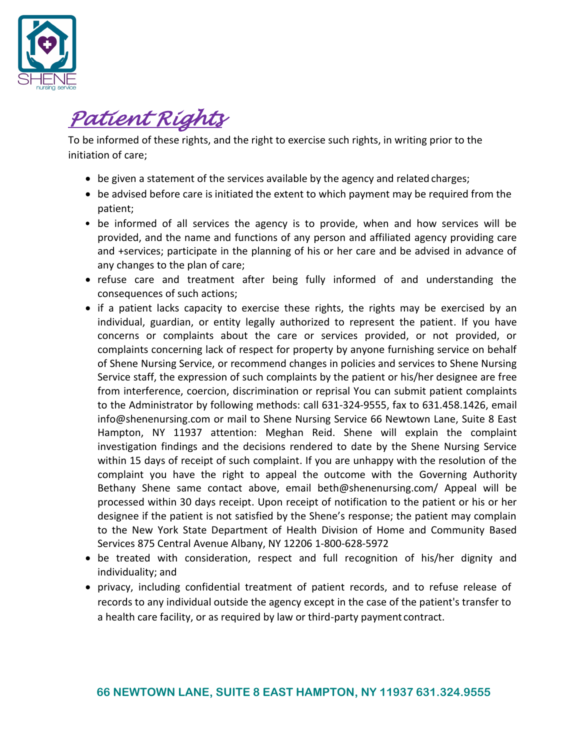

### *Patient Rights*

To be informed of these rights, and the right to exercise such rights, in writing prior to the initiation of care;

- be given a statement of the services available by the agency and related charges;
- be advised before care is initiated the extent to which payment may be required from the patient;
- be informed of all services the agency is to provide, when and how services will be provided, and the name and functions of any person and affiliated agency providing care and +services; participate in the planning of his or her care and be advised in advance of any changes to the plan of care;
- refuse care and treatment after being fully informed of and understanding the consequences of such actions;
- if a patient lacks capacity to exercise these rights, the rights may be exercised by an individual, guardian, or entity legally authorized to represent the patient. If you have concerns or complaints about the care or services provided, or not provided, or complaints concerning lack of respect for property by anyone furnishing service on behalf of Shene Nursing Service, or recommend changes in policies and services to Shene Nursing Service staff, the expression of such complaints by the patient or his/her designee are free from interference, coercion, discrimination or reprisal You can submit patient complaints to the Administrator by following methods: call 631-324-9555, fax to 631.458.1426, email [info@shenenursing.com](mailto:info@shenenursing.com) or mail to Shene Nursing Service 66 Newtown Lane, Suite 8 East Hampton, NY 11937 attention: Meghan Reid. Shene will explain the complaint investigation findings and the decisions rendered to date by the Shene Nursing Service within 15 days of receipt of such complaint. If you are unhappy with the resolution of the complaint you have the right to appeal the outcome with the Governing Authority Bethany Shene same contact above, email [beth@shenenursing.com/](mailto:beth@shenenursing.com/) Appeal will be processed within 30 days receipt. Upon receipt of notification to the patient or his or her designee if the patient is not satisfied by the Shene's response; the patient may complain to the New York State Department of Health Division of Home and Community Based Services 875 Central Avenue Albany, NY 12206 1-800-628-5972
- be treated with consideration, respect and full recognition of his/her dignity and individuality; and
- privacy, including confidential treatment of patient records, and to refuse release of records to any individual outside the agency except in the case of the patient's transfer to a health care facility, or as required by law or third-party payment contract.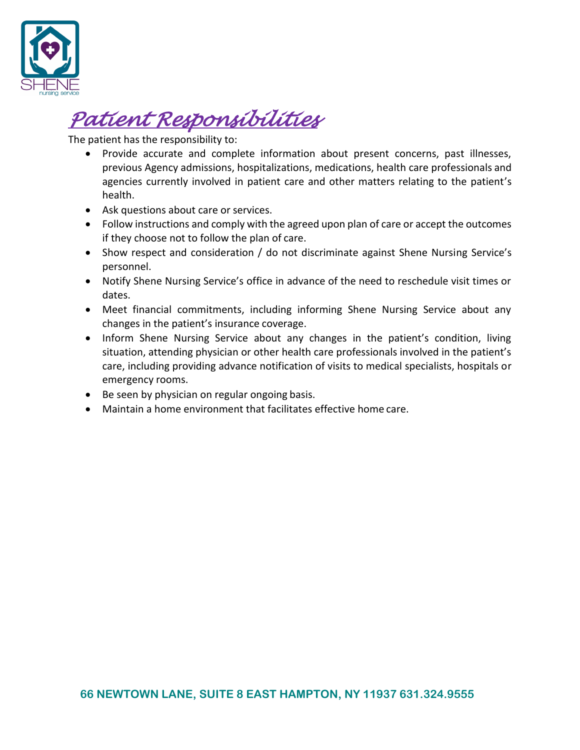

# *Patient Responsibilities*

The patient has the responsibility to:

- Provide accurate and complete information about present concerns, past illnesses, previous Agency admissions, hospitalizations, medications, health care professionals and agencies currently involved in patient care and other matters relating to the patient's health.
- Ask questions about care or services.
- Follow instructions and comply with the agreed upon plan of care or accept the outcomes if they choose not to follow the plan of care.
- Show respect and consideration / do not discriminate against Shene Nursing Service's personnel.
- Notify Shene Nursing Service's office in advance of the need to reschedule visit times or dates.
- Meet financial commitments, including informing Shene Nursing Service about any changes in the patient's insurance coverage.
- Inform Shene Nursing Service about any changes in the patient's condition, living situation, attending physician or other health care professionals involved in the patient's care, including providing advance notification of visits to medical specialists, hospitals or emergency rooms.
- Be seen by physician on regular ongoing basis.
- Maintain a home environment that facilitates effective home care.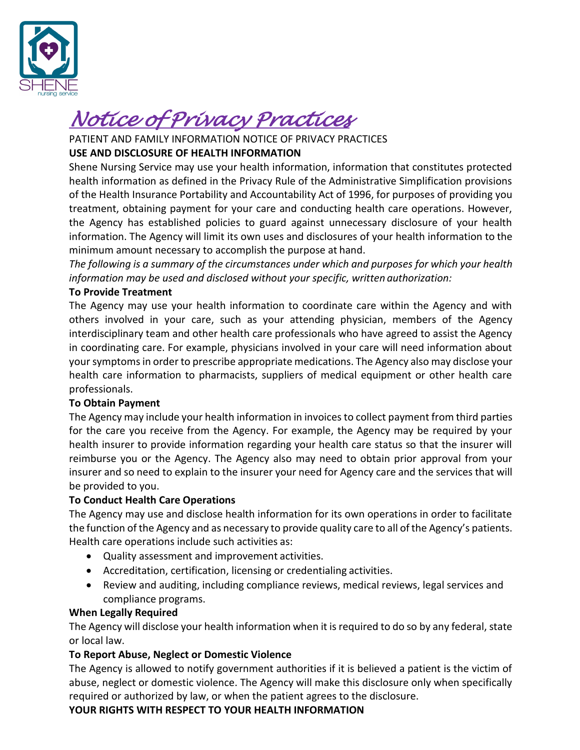

## *Notice of Privacy Practices*

PATIENT AND FAMILY INFORMATION NOTICE OF PRIVACY PRACTICES

### **USE AND DISCLOSURE OF HEALTH INFORMATION**

Shene Nursing Service may use your health information, information that constitutes protected health information as defined in the Privacy Rule of the Administrative Simplification provisions of the Health Insurance Portability and Accountability Act of 1996, for purposes of providing you treatment, obtaining payment for your care and conducting health care operations. However, the Agency has established policies to guard against unnecessary disclosure of your health information. The Agency will limit its own uses and disclosures of your health information to the minimum amount necessary to accomplish the purpose at hand.

*The following is a summary of the circumstances under which and purposes for which your health information may be used and disclosed without your specific, written authorization:*

#### **To Provide Treatment**

The Agency may use your health information to coordinate care within the Agency and with others involved in your care, such as your attending physician, members of the Agency interdisciplinary team and other health care professionals who have agreed to assist the Agency in coordinating care. For example, physicians involved in your care will need information about yoursymptomsin order to prescribe appropriate medications. The Agency also may disclose your health care information to pharmacists, suppliers of medical equipment or other health care professionals.

#### **To Obtain Payment**

The Agency may include your health information in invoicesto collect payment from third parties for the care you receive from the Agency. For example, the Agency may be required by your health insurer to provide information regarding your health care status so that the insurer will reimburse you or the Agency. The Agency also may need to obtain prior approval from your insurer and so need to explain to the insurer your need for Agency care and the services that will be provided to you.

#### **To Conduct Health Care Operations**

The Agency may use and disclose health information for its own operations in order to facilitate the function of the Agency and as necessary to provide quality care to all ofthe Agency's patients. Health care operations include such activities as:

- Quality assessment and improvement activities.
- Accreditation, certification, licensing or credentialing activities.
- Review and auditing, including compliance reviews, medical reviews, legal services and compliance programs.

#### **When Legally Required**

The Agency will disclose your health information when it is required to do so by any federal, state or local law.

### **To Report Abuse, Neglect or Domestic Violence**

The Agency is allowed to notify government authorities if it is believed a patient is the victim of abuse, neglect or domestic violence. The Agency will make this disclosure only when specifically required or authorized by law, or when the patient agrees to the disclosure.

**YOUR RIGHTS WITH RESPECT TO YOUR HEALTH INFORMATION**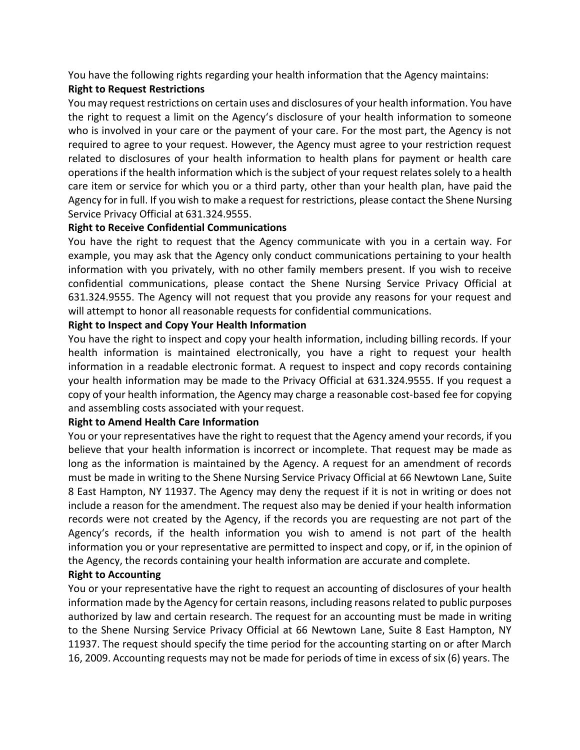You have the following rights regarding your health information that the Agency maintains:

#### **Right to Request Restrictions**

You may request restrictions on certain uses and disclosures of your health information. You have the right to request a limit on the Agency's disclosure of your health information to someone who is involved in your care or the payment of your care. For the most part, the Agency is not required to agree to your request. However, the Agency must agree to your restriction request related to disclosures of your health information to health plans for payment or health care operationsif the health information which isthe subject of your request relates solely to a health care item or service for which you or a third party, other than your health plan, have paid the Agency for in full. If you wish to make a request for restrictions, please contact the Shene Nursing Service Privacy Official at 631.324.9555.

#### **Right to Receive Confidential Communications**

You have the right to request that the Agency communicate with you in a certain way. For example, you may ask that the Agency only conduct communications pertaining to your health information with you privately, with no other family members present. If you wish to receive confidential communications, please contact the Shene Nursing Service Privacy Official at 631.324.9555. The Agency will not request that you provide any reasons for your request and will attempt to honor all reasonable requests for confidential communications.

#### **Right to Inspect and Copy Your Health Information**

You have the right to inspect and copy your health information, including billing records. If your health information is maintained electronically, you have a right to request your health information in a readable electronic format. A request to inspect and copy records containing your health information may be made to the Privacy Official at 631.324.9555. If you request a copy of your health information, the Agency may charge a reasonable cost-based fee for copying and assembling costs associated with your request.

#### **Right to Amend Health Care Information**

You or your representatives have the right to request that the Agency amend your records, if you believe that your health information is incorrect or incomplete. That request may be made as long as the information is maintained by the Agency. A request for an amendment of records must be made in writing to the Shene Nursing Service Privacy Official at 66 Newtown Lane, Suite 8 East Hampton, NY 11937. The Agency may deny the request if it is not in writing or does not include a reason for the amendment. The request also may be denied if your health information records were not created by the Agency, if the records you are requesting are not part of the Agency's records, if the health information you wish to amend is not part of the health information you or your representative are permitted to inspect and copy, or if, in the opinion of the Agency, the records containing your health information are accurate and complete.

#### **Right to Accounting**

You or your representative have the right to request an accounting of disclosures of your health information made by the Agency for certain reasons, including reasonsrelated to public purposes authorized by law and certain research. The request for an accounting must be made in writing to the Shene Nursing Service Privacy Official at 66 Newtown Lane, Suite 8 East Hampton, NY 11937. The request should specify the time period for the accounting starting on or after March 16, 2009. Accounting requests may not be made for periods of time in excess of six (6) years. The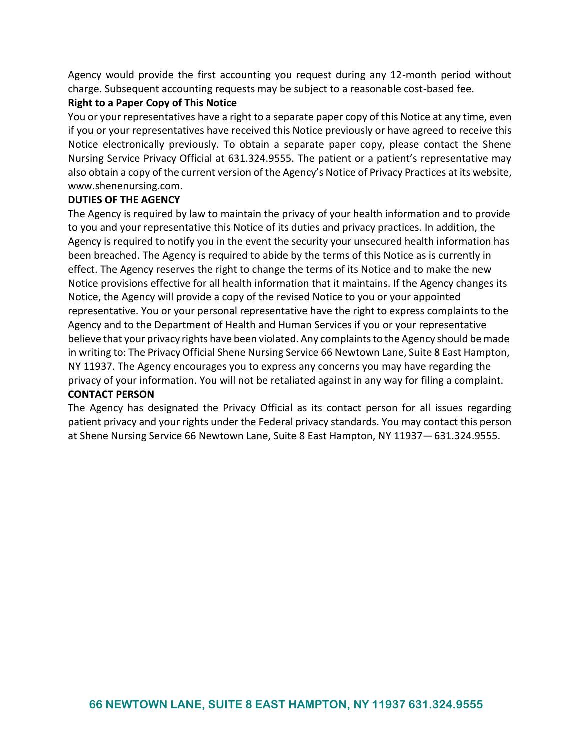Agency would provide the first accounting you request during any 12-month period without charge. Subsequent accounting requests may be subject to a reasonable cost-based fee.

#### **Right to a Paper Copy of This Notice**

You or your representatives have a right to a separate paper copy of this Notice at any time, even if you or your representatives have received this Notice previously or have agreed to receive this Notice electronically previously. To obtain a separate paper copy, please contact the Shene Nursing Service Privacy Official at 631.324.9555. The patient or a patient's representative may also obtain a copy of the current version of the Agency's Notice of Privacy Practices at its website, [www.shenenursing.com.](http://www.shenenursing.com/)

#### **DUTIES OF THE AGENCY**

The Agency is required by law to maintain the privacy of your health information and to provide to you and your representative this Notice of its duties and privacy practices. In addition, the Agency is required to notify you in the event the security your unsecured health information has been breached. The Agency is required to abide by the terms of this Notice as is currently in effect. The Agency reserves the right to change the terms of its Notice and to make the new Notice provisions effective for all health information that it maintains. If the Agency changes its Notice, the Agency will provide a copy of the revised Notice to you or your appointed representative. You or your personal representative have the right to express complaints to the Agency and to the Department of Health and Human Services if you or your representative believe that your privacy rights have been violated. Any complaints to the Agency should be made in writing to: The Privacy Official Shene Nursing Service 66 Newtown Lane, Suite 8 East Hampton, NY 11937. The Agency encourages you to express any concerns you may have regarding the privacy of your information. You will not be retaliated against in any way for filing a complaint. **CONTACT PERSON**

The Agency has designated the Privacy Official as its contact person for all issues regarding patient privacy and your rights under the Federal privacy standards. You may contact this person at Shene Nursing Service 66 Newtown Lane, Suite 8 East Hampton, NY 11937—631.324.9555.